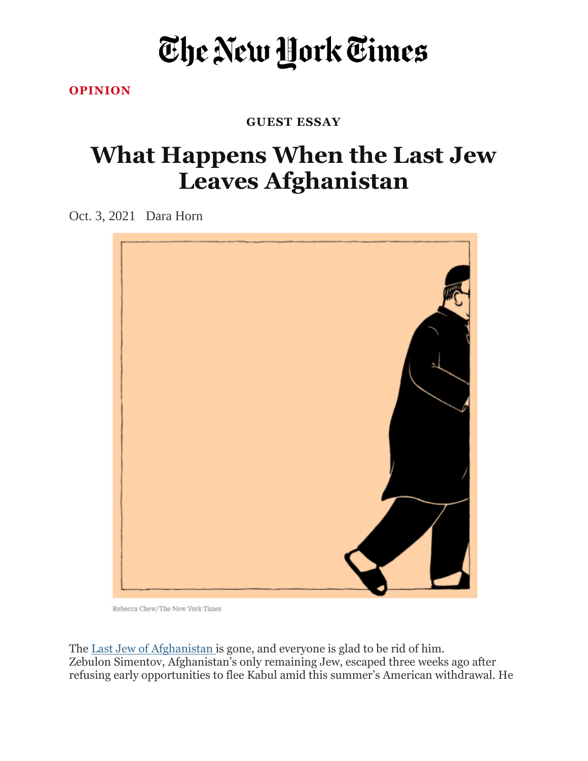## The New York Times

**[OPINION](https://www.nytimes.com/section/opinion)**

## **GUEST ESSAY**

## **What Happens When the Last Jew Leaves Afghanistan**

Oct. 3, 2021 Dara Horn



Rebecca Chew/The New York Times

The <u>Last Jew of [Afghanistan](https://apnews.com/article/middle-east-religion-israel-afghanistan-evacuations-c616b5b847da79f0cfc1de6f0f37b0b7)</u> is gone, and everyone is glad to be rid of him. Zebulon Simentov, Afghanistan's only remaining Jew, escaped three weeks ago after refusing early opportunities to flee Kabul amid this summer's American withdrawal. He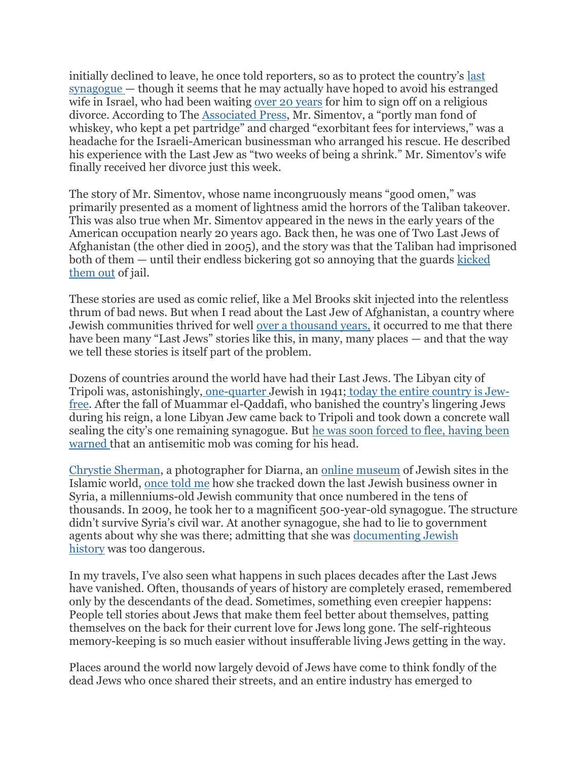initially declined to leave, he once told reporters, so as to protect the country's [last](https://www.timesofisrael.com/last-jew-in-afghanistan-will-be-safe-taliban-official-tells-israeli-news/) [synagogue](https://www.timesofisrael.com/last-jew-in-afghanistan-will-be-safe-taliban-official-tells-israeli-news/) — though it seems that he may actually have hoped to avoid his estranged wife in Israel, who had been waiting over 20 [years](https://www.timesofisrael.com/afghanistans-last-jew-still-wont-leave-the-country-or-divorce-his-wife/) for him to sign off on a religious divorce. According to The [Associated](https://apnews.com/article/middle-east-religion-israel-afghanistan-evacuations-c616b5b847da79f0cfc1de6f0f37b0b7) Press, Mr. Simentov, a "portly man fond of whiskey, who kept a pet partridge" and charged "exorbitant fees for interviews," was a headache for the Israeli-American businessman who arranged his rescue. He described his experience with the Last Jew as "two weeks of being a shrink." Mr. Simentov's wife finally received her divorce just this week.

The story of Mr. Simentov, whose name incongruously means "good omen," was primarily presented as a moment of lightness amid the horrors of the Taliban takeover. This was also true when Mr. Simentov appeared in the news in the early years of the American occupation nearly 20 years ago. Back then, he was one of Two Last Jews of Afghanistan (the other died in 2005), and the story was that the Taliban had imprisoned both of them — until their endless bickering got so annoying that the guards [kicked](https://www.jta.org/2019/10/31/global/the-last-jews-in-afghanistan-argued-so-much-the-taliban-kicked-them-out-of-prison-and-stole-their-torah) [them](https://www.jta.org/2019/10/31/global/the-last-jews-in-afghanistan-argued-so-much-the-taliban-kicked-them-out-of-prison-and-stole-their-torah) out of jail.

These stories are used as comic relief, like a Mel Brooks skit injected into the relentless thrum of bad news. But when I read about the Last Jew of Afghanistan, a country where Jewish communities thrived for well over a [thousand](https://www.anumuseum.org.il/jews-afghanistan/) years, it occurred to me that there have been many "Last Jews" stories like this, in many, many places — and that the way we tell these stories is itself part of the problem.

Dozens of countries around the world have had their Last Jews. The Libyan city of Tripoli was, astonishingly, [one-quarter](https://www.yadvashem.org/articles/general/the-jews-of-libya.html) Jewish in 1941; today the entire [country](https://www.smithsonianmag.com/history/diarna-jewish-sites-not-seen-generations-visit-from-home-180974875/) is Jew[free.](https://www.smithsonianmag.com/history/diarna-jewish-sites-not-seen-generations-visit-from-home-180974875/) After the fall of Muammar el-Qaddafi, who banished the country's lingering Jews during his reign, a lone Libyan Jew came back to Tripoli and took down a concrete wall sealing the city's one remaining synagogue. But he was soon forced to flee, [having](https://www.theguardian.com/world/2011/oct/04/libyan-jew-blocked-tripoli-synagogue) been [warned](https://www.theguardian.com/world/2011/oct/04/libyan-jew-blocked-tripoli-synagogue) that an antisemitic mob was coming for his head.

Chrystie [Sherman,](http://www.chrystiesherman.com/) a photographer for Diarna, an online [museum](http://www.diarna.org/) of Jewish sites in the Islamic world, [once](https://www.smithsonianmag.com/history/diarna-jewish-sites-not-seen-generations-visit-from-home-180974875/) told me how she tracked down the last Jewish business owner in Syria, a millenniums-old Jewish community that once numbered in the tens of thousands. In 2009, he took her to a magnificent 500-year-old synagogue. The structure didn't survive Syria's civil war. At another synagogue, she had to lie to government agents about why she was there; admitting that she was [documenting](https://podcasts.apple.com/il/podcast/time-traveling-jews/id1582119175?i=1000537187787) Jewish [history](https://podcasts.apple.com/il/podcast/time-traveling-jews/id1582119175?i=1000537187787) was too dangerous.

In my travels, I've also seen what happens in such places decades after the Last Jews have vanished. Often, thousands of years of history are completely erased, remembered only by the descendants of the dead. Sometimes, something even creepier happens: People tell stories about Jews that make them feel better about themselves, patting themselves on the back for their current love for Jews long gone. The self-righteous memory-keeping is so much easier without insufferable living Jews getting in the way.

Places around the world now largely devoid of Jews have come to think fondly of the dead Jews who once shared their streets, and an entire industry has emerged to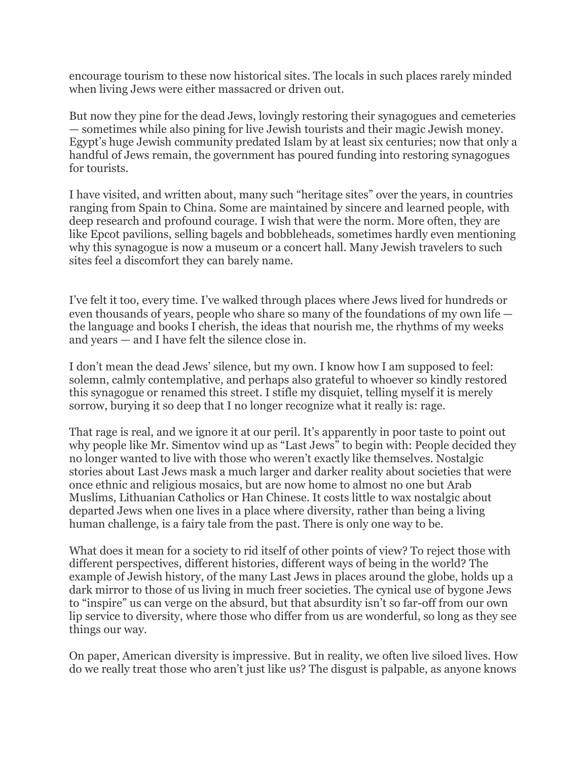encourage tourism to these now historical sites. The locals in such places rarely minded when living Jews were either massacred or driven out.

But now they pine for the dead Jews, lovingly restoring their synagogues and cemeteries — sometimes while also pining for live Jewish tourists and their magic Jewish money. Egypt's huge Jewish community predated Islam by at least six centuries; now that only a handful of Jews remain, the government has poured funding into restoring synagogues for tourists.

I have visited, and written about, many such "heritage sites" over the years, in countries ranging from Spain to China. Some are maintained by sincere and learned people, with deep research and profound courage. I wish that were the norm. More often, they are like Epcot pavilions, selling bagels and bobbleheads, sometimes hardly even mentioning why this synagogue is now a museum or a concert hall. Many Jewish travelers to such sites feel a discomfort they can barely name.

I've felt it too, every time. I've walked through places where Jews lived for hundreds or even thousands of years, people who share so many of the foundations of my own life the language and books I cherish, the ideas that nourish me, the rhythms of my weeks and years — and I have felt the silence close in.

I don't mean the dead Jews' silence, but my own. I know how I am supposed to feel: solemn, calmly contemplative, and perhaps also grateful to whoever so kindly restored this synagogue or renamed this street. I stifle my disquiet, telling myself it is merely sorrow, burying it so deep that I no longer recognize what it really is: rage.

That rage is real, and we ignore it at our peril. It's apparently in poor taste to point out why people like Mr. Simentov wind up as "Last Jews" to begin with: People decided they no longer wanted to live with those who weren't exactly like themselves. Nostalgic stories about Last Jews mask a much larger and darker reality about societies that were once ethnic and religious mosaics, but are now home to almost no one but Arab Muslims, Lithuanian Catholics or Han Chinese. It costs little to wax nostalgic about departed Jews when one lives in a place where diversity, rather than being a living human challenge, is a fairy tale from the past. There is only one way to be.

What does it mean for a society to rid itself of other points of view? To reject those with different perspectives, different histories, different ways of being in the world? The example of Jewish history, of the many Last Jews in places around the globe, holds up a dark mirror to those of us living in much freer societies. The cynical use of bygone Jews to "inspire" us can verge on the absurd, but that absurdity isn't so far-off from our own lip service to diversity, where those who differ from us are wonderful, so long as they see things our way.

On paper, American diversity is impressive. But in reality, we often live siloed lives. How do we really treat those who aren't just like us? The disgust is palpable, as anyone knows